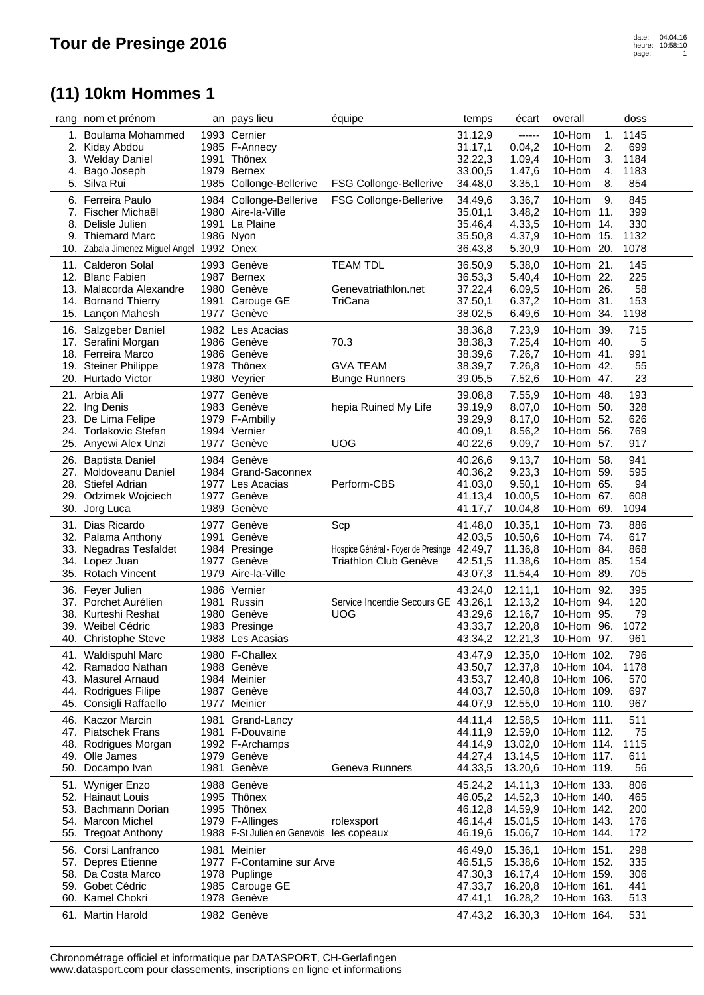## **(11) 10km Hommes 1**

|     | rang nom et prénom                        | an pays lieu                             | équipe                                      | temps              | écart            | overall     |     | doss |  |
|-----|-------------------------------------------|------------------------------------------|---------------------------------------------|--------------------|------------------|-------------|-----|------|--|
| 1.  | Boulama Mohammed                          | 1993 Cernier                             |                                             | 31.12,9            | ------           | 10-Hom      | 1.  | 1145 |  |
| 2.  | Kiday Abdou                               | 1985 F-Annecy                            |                                             | 31.17,1            | 0.04,2           | 10-Hom      | 2.  | 699  |  |
|     | 3. Welday Daniel                          | 1991 Thônex                              |                                             | 32.22,3            | 1.09,4           | 10-Hom      | 3.  | 1184 |  |
| 4.  | Bago Joseph                               | 1979 Bernex                              |                                             | 33.00,5            | 1.47,6           | 10-Hom      | 4.  | 1183 |  |
| 5.  | Silva Rui                                 | 1985 Collonge-Bellerive                  | <b>FSG Collonge-Bellerive</b>               | 34.48,0            | 3.35,1           | 10-Hom      | 8.  | 854  |  |
|     | 6. Ferreira Paulo                         | 1984 Collonge-Bellerive                  | <b>FSG Collonge-Bellerive</b>               | 34.49,6            | 3.36,7           | 10-Hom      | 9.  | 845  |  |
|     | 7. Fischer Michaël                        | 1980 Aire-la-Ville                       |                                             |                    |                  | 10-Hom      | 11. | 399  |  |
| 8.  | Delisle Julien                            | 1991 La Plaine                           |                                             | 35.01,1<br>35.46,4 | 3.48,2<br>4.33,5 | 10-Hom      | 14. | 330  |  |
| 9.  | <b>Thiemard Marc</b>                      | 1986 Nyon                                |                                             | 35.50,8            | 4.37,9           | 10-Hom 15.  |     | 1132 |  |
|     | 10. Zabala Jimenez Miguel Angel 1992 Onex |                                          |                                             | 36.43,8            | 5.30,9           | 10-Hom 20.  |     | 1078 |  |
|     |                                           |                                          |                                             |                    |                  |             |     |      |  |
|     | 11. Calderon Solal                        | 1993 Genève                              | <b>TEAM TDL</b>                             | 36.50,9            | 5.38,0           | 10-Hom 21.  |     | 145  |  |
| 12. | <b>Blanc Fabien</b>                       | 1987 Bernex                              |                                             | 36.53,3            | 5.40,4           | 10-Hom 22.  |     | 225  |  |
|     | 13. Malacorda Alexandre                   | 1980 Genève                              | Genevatriathlon.net                         | 37.22,4            | 6.09,5           | 10-Hom 26.  |     | 58   |  |
|     | 14. Bornand Thierry                       | 1991 Carouge GE                          | TriCana                                     | 37.50,1            | 6.37,2           | 10-Hom 31.  |     | 153  |  |
|     | 15. Lançon Mahesh                         | 1977 Genève                              |                                             | 38.02,5            | 6.49,6           | 10-Hom 34.  |     | 1198 |  |
|     | 16. Salzgeber Daniel                      | 1982 Les Acacias                         |                                             | 38.36,8            | 7.23,9           | 10-Hom 39.  |     | 715  |  |
|     | 17. Serafini Morgan                       | 1986 Genève                              | 70.3                                        | 38.38,3            | 7.25,4           | 10-Hom 40.  |     | 5    |  |
|     | 18. Ferreira Marco                        | 1986 Genève                              |                                             | 38.39,6            | 7.26,7           | 10-Hom 41.  |     | 991  |  |
|     | 19. Steiner Philippe                      | 1978 Thônex                              | <b>GVA TEAM</b>                             | 38.39,7            | 7.26,8           | 10-Hom 42.  |     | 55   |  |
|     | 20. Hurtado Victor                        | 1980 Veyrier                             | <b>Bunge Runners</b>                        | 39.05,5            | 7.52,6           | 10-Hom 47.  |     | 23   |  |
|     | 21. Arbia Ali                             | 1977 Genève                              |                                             | 39.08,8            | 7.55,9           | 10-Hom 48.  |     | 193  |  |
|     | 22. Ing Denis                             | 1983 Genève                              | hepia Ruined My Life                        | 39.19,9            | 8.07,0           | 10-Hom 50.  |     | 328  |  |
|     | 23. De Lima Felipe                        | 1979 F-Ambilly                           |                                             | 39.29,9            | 8.17,0           | 10-Hom 52.  |     | 626  |  |
|     | 24. Torlakovic Stefan                     | 1994 Vernier                             |                                             | 40.09,1            | 8.56,2           | 10-Hom 56.  |     | 769  |  |
|     | 25. Anyewi Alex Unzi                      | 1977 Genève                              | <b>UOG</b>                                  | 40.22,6            | 9.09,7           | 10-Hom 57.  |     | 917  |  |
|     |                                           |                                          |                                             |                    |                  |             |     |      |  |
|     | 26. Baptista Daniel                       | 1984 Genève                              |                                             | 40.26,6            | 9.13,7           | 10-Hom 58.  |     | 941  |  |
|     | 27. Moldoveanu Daniel                     | 1984 Grand-Saconnex                      |                                             | 40.36,2            | 9.23,3           | 10-Hom 59.  |     | 595  |  |
|     | 28. Stiefel Adrian                        | 1977 Les Acacias                         | Perform-CBS                                 | 41.03,0            | 9.50,1           | 10-Hom 65.  |     | 94   |  |
|     | 29. Odzimek Wojciech                      | 1977 Genève                              |                                             | 41.13,4            | 10.00,5          | 10-Hom 67.  |     | 608  |  |
|     | 30. Jorg Luca                             | 1989 Genève                              |                                             | 41.17,7            | 10.04,8          | 10-Hom 69.  |     | 1094 |  |
|     | 31. Dias Ricardo                          | 1977 Genève                              | Scp                                         | 41.48,0            | 10.35,1          | 10-Hom 73.  |     | 886  |  |
|     | 32. Palama Anthony                        | 1991 Genève                              |                                             | 42.03,5            | 10.50,6          | 10-Hom 74.  |     | 617  |  |
| 33. | Negadras Tesfaldet                        | 1984 Presinge                            | Hospice Général - Foyer de Presinge 42.49,7 |                    | 11.36,8          | 10-Hom 84.  |     | 868  |  |
|     | 34. Lopez Juan                            | 1977 Genève                              | <b>Triathlon Club Genève</b>                | 42.51,5            | 11.38,6          | 10-Hom 85.  |     | 154  |  |
|     | 35. Rotach Vincent                        | 1979 Aire-la-Ville                       |                                             | 43.07,3            | 11.54,4          | 10-Hom 89.  |     | 705  |  |
| 36. | Feyer Julien                              | 1986 Vernier                             |                                             | 43.24,0            | 12.11,1          | 10-Hom 92.  |     | 395  |  |
|     | 37. Porchet Aurélien                      | 1981 Russin                              | Service Incendie Secours GE 43.26,1         |                    | 12.13,2          | 10-Hom 94.  |     | 120  |  |
|     | 38. Kurteshi Reshat                       | 1980 Genève                              | <b>UOG</b>                                  | 43.29,6            | 12.16,7          | 10-Hom 95.  |     | 79   |  |
| 39. | Weibel Cédric                             | 1983 Presinge                            |                                             | 43.33,7            | 12.20,8          | 10-Hom 96.  |     | 1072 |  |
|     | 40. Christophe Steve                      | 1988 Les Acasias                         |                                             | 43.34,2            | 12.21,3          | 10-Hom 97.  |     | 961  |  |
|     | 41. Waldispuhl Marc                       | 1980 F-Challex                           |                                             | 43.47,9            | 12.35,0          | 10-Hom 102. |     | 796  |  |
|     | 42. Ramadoo Nathan                        | 1988 Genève                              |                                             | 43.50,7            | 12.37,8          | 10-Hom 104. |     | 1178 |  |
| 43. | <b>Masurel Arnaud</b>                     | 1984 Meinier                             |                                             | 43.53,7            | 12.40,8          | 10-Hom 106. |     | 570  |  |
| 44. | <b>Rodrigues Filipe</b>                   | 1987 Genève                              |                                             | 44.03,7            | 12.50,8          | 10-Hom 109. |     | 697  |  |
| 45. | Consigli Raffaello                        | 1977 Meinier                             |                                             | 44.07,9            | 12.55,0          | 10-Hom 110. |     | 967  |  |
|     |                                           |                                          |                                             |                    |                  |             |     |      |  |
| 46. | <b>Kaczor Marcin</b>                      | 1981 Grand-Lancy                         |                                             | 44.11,4            | 12.58,5          | 10-Hom 111. |     | 511  |  |
|     | 47. Piatschek Frans                       | 1981 F-Douvaine                          |                                             | 44.11,9            | 12.59,0          | 10-Hom 112. |     | 75   |  |
| 48. | Rodrigues Morgan<br>Olle James            | 1992 F-Archamps                          |                                             | 44.14,9            | 13.02,0          | 10-Hom 114. |     | 1115 |  |
| 49. |                                           | 1979 Genève                              | Geneva Runners                              | 44.27,4            | 13.14,5          | 10-Hom 117. |     | 611  |  |
|     | 50. Docampo Ivan                          | 1981 Genève                              |                                             | 44.33,5            | 13.20,6          | 10-Hom 119. |     | 56   |  |
|     | 51. Wyniger Enzo                          | 1988 Genève                              |                                             | 45.24,2            | 14.11,3          | 10-Hom 133. |     | 806  |  |
|     | 52. Hainaut Louis                         | 1995 Thônex                              |                                             | 46.05,2            | 14.52,3          | 10-Hom 140. |     | 465  |  |
| 53. | Bachmann Dorian                           | 1995 Thônex                              |                                             | 46.12,8            | 14.59,9          | 10-Hom 142. |     | 200  |  |
| 54. | <b>Marcon Michel</b>                      | 1979 F-Allinges                          | rolexsport                                  | 46.14,4            | 15.01,5          | 10-Hom 143. |     | 176  |  |
|     | 55. Tregoat Anthony                       | 1988 F-St Julien en Genevois les copeaux |                                             | 46.19,6            | 15.06,7          | 10-Hom 144. |     | 172  |  |
|     | 56. Corsi Lanfranco                       | 1981 Meinier                             |                                             | 46.49,0            | 15.36,1          | 10-Hom 151. |     | 298  |  |
| 57. | Depres Etienne                            | 1977 F-Contamine sur Arve                |                                             | 46.51,5            | 15.38,6          | 10-Hom 152. |     | 335  |  |
| 58. | Da Costa Marco                            | 1978 Puplinge                            |                                             | 47.30,3            | 16.17,4          | 10-Hom 159. |     | 306  |  |
| 59. | Gobet Cédric                              | 1985 Carouge GE                          |                                             | 47.33,7            | 16.20,8          | 10-Hom 161. |     | 441  |  |
|     | 60. Kamel Chokri                          | 1978 Genève                              |                                             | 47.41,1            | 16.28,2          | 10-Hom 163. |     | 513  |  |
|     | 61. Martin Harold                         | 1982 Genève                              |                                             | 47.43,2            | 16.30,3          | 10-Hom 164. |     | 531  |  |
|     |                                           |                                          |                                             |                    |                  |             |     |      |  |